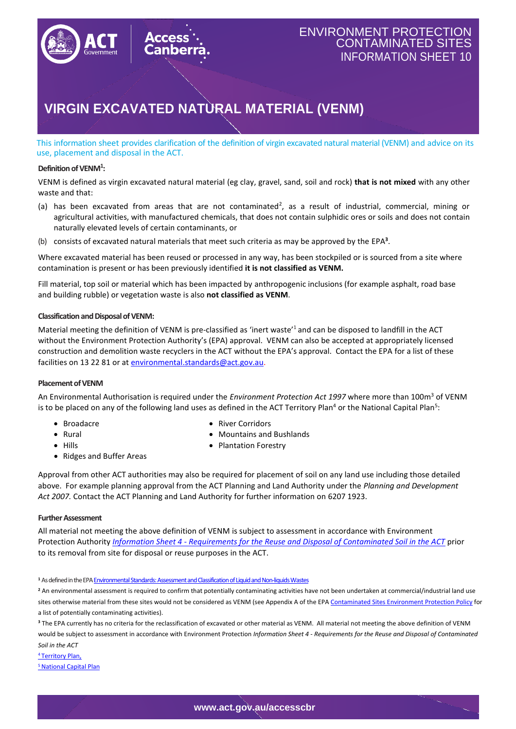

## ENVIRONMENT PROTECTION CONTAMINATED SITES INFORMATION SHEET 10

# **VIRGIN EXCAVATED NATURAL MATERIAL (VENM)**

This information sheet provides clarification of the definition of virgin excavated natural material (VENM) and advice on its use, placement and disposal in the ACT.

### **Definition of VENM<sup>1</sup> :**

VENM is defined as virgin excavated natural material (eg clay, gravel, sand, soil and rock) **that is not mixed** with any other waste and that:

- (a) has been excavated from areas that are not contaminated<sup>2</sup>, as a result of industrial, commercial, mining or agricultural activities, with manufactured chemicals, that does not contain sulphidic ores or soils and does not contain naturally elevated levels of certain contaminants, or
- (b) consists of excavated natural materials that meet such criteria as may be approved by the EPA**<sup>3</sup>** .

Where excavated material has been reused or processed in any way, has been stockpiled or is sourced from a site where contamination is present or has been previously identified **it is not classified as VENM.** 

Fill material, top soil or material which has been impacted by anthropogenic inclusions (for example asphalt, road base and building rubble) or vegetation waste is also **not classified as VENM**.

#### **Classification and Disposalof VENM:**

Material meeting the definition of VENM is pre-classified as 'inert waste'<sup>1</sup> and can be disposed to landfill in the ACT without the Environment Protection Authority's (EPA) approval. VENM can also be accepted at appropriately licensed construction and demolition waste recyclers in the ACT without the EPA's approval. Contact the EPA for a list of these facilities on 13 22 81 or at [environmental.standards@act.gov.au.](mailto:environmental.standards@act.gov.au)

#### **Placement of VENM**

An Environmental Authorisation is required under the *Environment Protection Act 1997* where more than 100m<sup>3</sup> of VENM is to be placed on any of the following land uses as defined in the ACT Territory Plan<sup>4</sup> or the National Capital Plan<sup>5</sup>:

- Broadacre
- Rural
- Hills
- Ridges and Buffer Areas
- River Corridors
- Mountains and Bushlands
- Plantation Forestry

Approval from other ACT authorities may also be required for placement of soil on any land use including those detailed above. For example planning approval from the ACT Planning and Land Authority under the *Planning and Development Act 2007.* Contact the ACT Planning and Land Authority for further information on 6207 1923.

#### **Further Assessment**

All material not meeting the above definition of VENM is subject to assessment in accordance with Environment Protection Authority *Information Sheet 4 - [Requirements for the Reuse and Disposal of Contaminated Soil in the ACT](https://www.accesscanberra.act.gov.au/ci/fattach/get/130521/1487627267/redirect/1/filename/Information+sheet+4+%E2%80%93+Requirements+for+the+reuse+and+disposal+of+contaminated+soil+in+the+ACT.pdf)* prior to its removal from site for disposal or reuse purposes in the ACT.

**<sup>1</sup>** As defined in the EP[AEnvironmental Standards: Assessment and Classification of Liquid and Non-liquids Wastes](https://www.accesscanberra.act.gov.au/app/answers/detail/a_id/3456/kw/Contaminated%20sites/related/1/session/L2F2LzEvdGltZS8xNTQ2MzcyODExL2dlbi8xNTQ2MzcyODExL3NpZC9mVUVLSW5GbVBOU2JtZWlGUjNrZ1hUeEFEcndKTkxrR0NwSmlROEhmdnJJTUZpMmUyVkduVWhBUzg1M2hrQzMzeHRwSlNfVHpzdjNnUk0wSUwwTzJqZUpORGFTSW9tdE96UU95YUVUUnA0Uk0ybWVDcTBoclhMZlElMjElMjE%3D)

<sup>2</sup> An environmental assessment is required to confirm that potentially contaminating activities have not been undertaken at commercial/industrial land use sites otherwise material from these sites would not be considered as VENM (see Appendix A of the EP[A Contaminated Sites Environment Protection Policy](https://www.accesscanberra.act.gov.au/ci/fattach/get/187192/1513833952/redirect/1/filename/Contaminated+sites+environment+protection+policy.PDF) for a list of potentially contaminating activities).

**<sup>3</sup>** The EPA currently has no criteria for the reclassification of excavated or other material as VENM. All material not meeting the above definition of VENM would be subject to assessment in accordance with Environment Protection *Information Sheet 4 - [Requirements for the Reuse and Disposal of Contaminated](https://www.accesscanberra.act.gov.au/ci/fattach/get/130521/1487627267/redirect/1/filename/Information+sheet+4+%E2%80%93+Requirements+for+the+reuse+and+disposal+of+contaminated+soil+in+the+ACT.pdf)  [Soil in the ACT](https://www.accesscanberra.act.gov.au/ci/fattach/get/130521/1487627267/redirect/1/filename/Information+sheet+4+%E2%80%93+Requirements+for+the+reuse+and+disposal+of+contaminated+soil+in+the+ACT.pdf)*

<sup>4</sup> [Territory Plan,](https://www.legislation.act.gov.au/ni/2008-27/Current)

**5 [National Capital Plan](https://nca.govcms.gov.au/consolidated-national-capital-plan)**